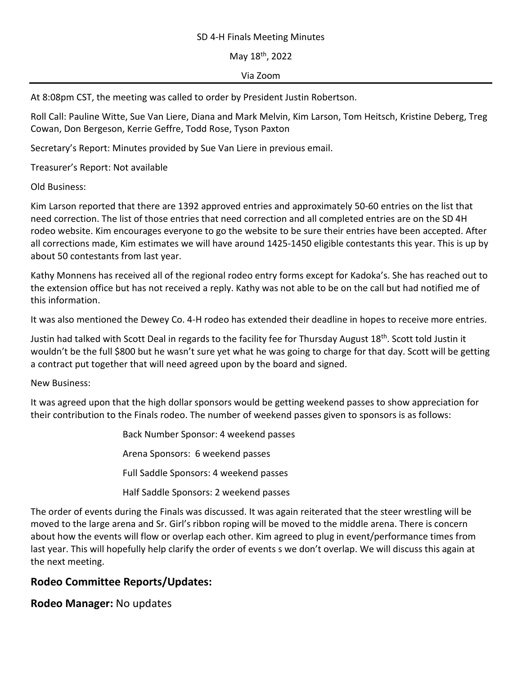## SD 4-H Finals Meeting Minutes

May 18th, 2022

## Via Zoom

At 8:08pm CST, the meeting was called to order by President Justin Robertson.

Roll Call: Pauline Witte, Sue Van Liere, Diana and Mark Melvin, Kim Larson, Tom Heitsch, Kristine Deberg, Treg Cowan, Don Bergeson, Kerrie Geffre, Todd Rose, Tyson Paxton

Secretary's Report: Minutes provided by Sue Van Liere in previous email.

Treasurer's Report: Not available

Old Business:

Kim Larson reported that there are 1392 approved entries and approximately 50-60 entries on the list that need correction. The list of those entries that need correction and all completed entries are on the SD 4H rodeo website. Kim encourages everyone to go the website to be sure their entries have been accepted. After all corrections made, Kim estimates we will have around 1425-1450 eligible contestants this year. This is up by about 50 contestants from last year.

Kathy Monnens has received all of the regional rodeo entry forms except for Kadoka's. She has reached out to the extension office but has not received a reply. Kathy was not able to be on the call but had notified me of this information.

It was also mentioned the Dewey Co. 4-H rodeo has extended their deadline in hopes to receive more entries.

Justin had talked with Scott Deal in regards to the facility fee for Thursday August 18th. Scott told Justin it wouldn't be the full \$800 but he wasn't sure yet what he was going to charge for that day. Scott will be getting a contract put together that will need agreed upon by the board and signed.

New Business:

It was agreed upon that the high dollar sponsors would be getting weekend passes to show appreciation for their contribution to the Finals rodeo. The number of weekend passes given to sponsors is as follows:

> Back Number Sponsor: 4 weekend passes Arena Sponsors: 6 weekend passes Full Saddle Sponsors: 4 weekend passes Half Saddle Sponsors: 2 weekend passes

The order of events during the Finals was discussed. It was again reiterated that the steer wrestling will be moved to the large arena and Sr. Girl's ribbon roping will be moved to the middle arena. There is concern about how the events will flow or overlap each other. Kim agreed to plug in event/performance times from last year. This will hopefully help clarify the order of events s we don't overlap. We will discuss this again at the next meeting.

## **Rodeo Committee Reports/Updates:**

**Rodeo Manager:** No updates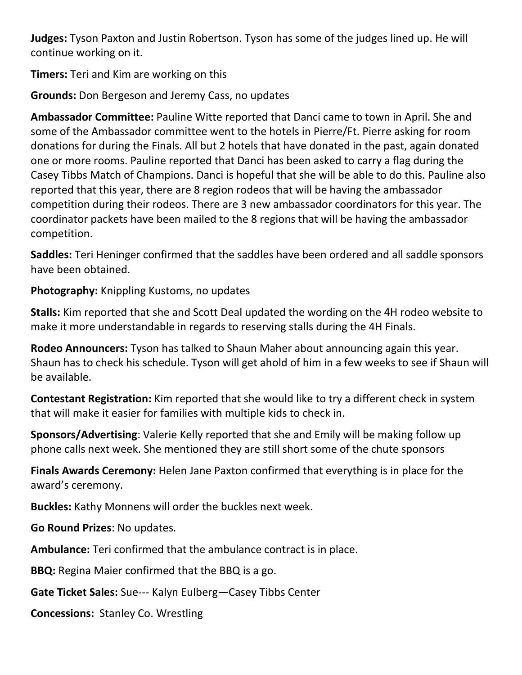**Judges:** Tyson Paxton and Justin Robertson. Tyson has some of the judges lined up. He will continue working on it.

**Timers:** Teri and Kim are working on this

**Grounds:** Don Bergeson and Jeremy Cass, no updates

**Ambassador Committee:** Pauline Witte reported that Danci came to town in April. She and some of the Ambassador committee went to the hotels in Pierre/Ft. Pierre asking for room donations for during the Finals. All but 2 hotels that have donated in the past, again donated one or more rooms. Pauline reported that Danci has been asked to carry a flag during the Casey Tibbs Match of Champions. Danci is hopeful that she will be able to do this. Pauline also reported that this year, there are 8 region rodeos that will be having the ambassador competition during their rodeos. There are 3 new ambassador coordinators for this year. The coordinator packets have been mailed to the 8 regions that will be having the ambassador competition.

**Saddles:** Teri Heninger confirmed that the saddles have been ordered and all saddle sponsors have been obtained.

**Photography:** Knippling Kustoms, no updates

**Stalls:** Kim reported that she and Scott Deal updated the wording on the 4H rodeo website to make it more understandable in regards to reserving stalls during the 4H Finals.

**Rodeo Announcers:** Tyson has talked to Shaun Maher about announcing again this year. Shaun has to check his schedule. Tyson will get ahold of him in a few weeks to see if Shaun will be available.

**Contestant Registration:** Kim reported that she would like to try a different check in system that will make it easier for families with multiple kids to check in.

**Sponsors/Advertising**: Valerie Kelly reported that she and Emily will be making follow up phone calls next week. She mentioned they are still short some of the chute sponsors

**Finals Awards Ceremony:** Helen Jane Paxton confirmed that everything is in place for the award's ceremony.

**Buckles:** Kathy Monnens will order the buckles next week.

**Go Round Prizes**: No updates.

**Ambulance:** Teri confirmed that the ambulance contract is in place.

**BBQ:** Regina Maier confirmed that the BBQ is a go.

**Gate Ticket Sales:** Sue--- Kalyn Eulberg—Casey Tibbs Center

**Concessions:** Stanley Co. Wrestling